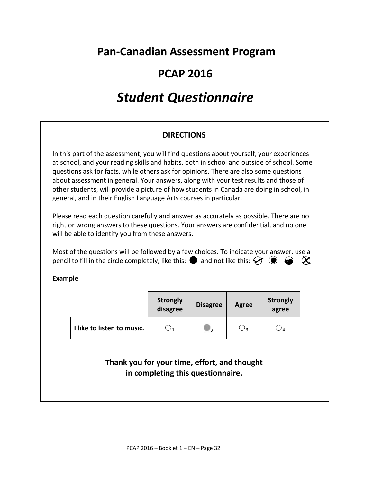# **Pan-Canadian Assessment Program**

# **PCAP 2016**

# *Student Questionnaire*

# **DIRECTIONS**

In this part of the assessment, you will find questions about yourself, your experiences at school, and your reading skills and habits, both in school and outside of school. Some questions ask for facts, while others ask for opinions. There are also some questions about assessment in general. Your answers, along with your test results and those of other students, will provide a picture of how students in Canada are doing in school, in general, and in their English Language Arts courses in particular.

Please read each question carefully and answer as accurately as possible. There are no right or wrong answers to these questions. Your answers are confidential, and no one will be able to identify you from these answers.

Most of the questions will be followed by a few choices. To indicate your answer, use a pencil to fill in the circle completely, like this:  $\bullet$  and not like this:  $\bullet \bullet \bullet \bullet \bullet$ 

**Example** 

|                            | <b>Strongly</b><br>disagree | <b>Disagree</b> | <b>Agree</b> | <b>Strongly</b><br>agree |
|----------------------------|-----------------------------|-----------------|--------------|--------------------------|
| I like to listen to music. |                             | ⊺າ              | 3 ل          |                          |

**Thank you for your time, effort, and thought in completing this questionnaire.**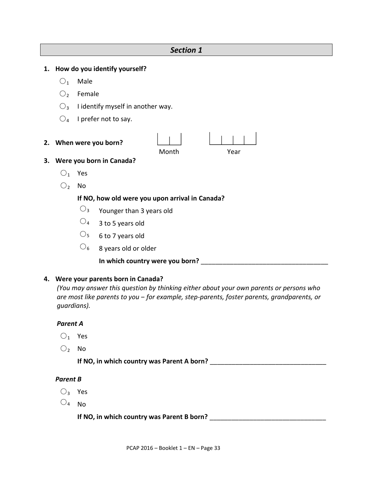|    | JELIUII 1      |              |                                                 |  |  |
|----|----------------|--------------|-------------------------------------------------|--|--|
| 1. |                |              | How do you identify yourself?                   |  |  |
|    | O <sub>1</sub> | Male         |                                                 |  |  |
|    | O <sub>2</sub> | Female       |                                                 |  |  |
|    | $O_3$          |              | I identify myself in another way.               |  |  |
|    | O <sub>4</sub> |              | I prefer not to say.                            |  |  |
| 2. |                |              | When were you born?<br>Month<br>Year            |  |  |
| 3. |                |              | Were you born in Canada?                        |  |  |
|    | $()_{1}$       | Yes          |                                                 |  |  |
|    | O <sub>2</sub> | No           |                                                 |  |  |
|    |                |              | If NO, how old were you upon arrival in Canada? |  |  |
|    |                | $O_3$        | Younger than 3 years old                        |  |  |
|    |                | $O_4$        | 3 to 5 years old                                |  |  |
|    |                | $\bigcirc_5$ | 6 to 7 years old                                |  |  |
|    |                | ل (          | 8 years old or older                            |  |  |

*Section 1*

**In which country were you born?** \_\_\_\_\_\_\_\_\_\_\_\_\_\_\_\_\_\_\_\_\_\_\_\_\_\_\_\_\_\_\_\_\_\_\_

#### **4. Were your parents born in Canada?**

*(You may answer this question by thinking either about your own parents or persons who are most like parents to you ‒ for example, step-parents, foster parents, grandparents, or guardians).* 

#### *Parent A*

- $O_1$  Yes
- $O<sub>2</sub>$  No

**If NO, in which country was Parent A born?** \_\_\_\_\_\_\_\_\_\_\_\_\_\_\_\_\_\_\_\_\_\_\_\_\_\_\_\_\_\_\_\_

# *Parent B*

- $O_3$  Yes
- $\bigcirc_4$  No

**If NO, in which country was Parent B born?** \_\_\_\_\_\_\_\_\_\_\_\_\_\_\_\_\_\_\_\_\_\_\_\_\_\_\_\_\_\_\_\_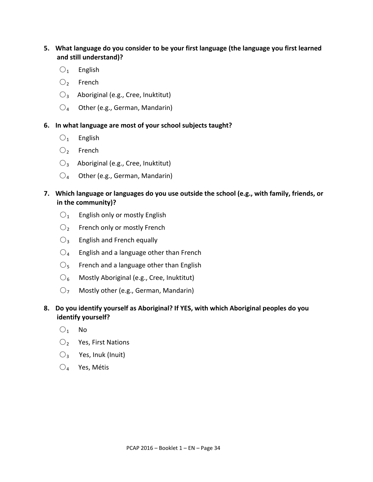#### **5. What language do you consider to be your first language (the language you first learned and still understand)?**

- $O_1$  English
- $\bigcirc$  French
- $\bigcirc$ <sub>3</sub> Aboriginal (e.g., Cree, Inuktitut)
- $\bigcirc_4$  Other (e.g., German, Mandarin)

#### **6. In what language are most of your school subjects taught?**

- $O_1$  English
- $\bigcirc$  French
- $\bigcirc$ <sub>3</sub> Aboriginal (e.g., Cree, Inuktitut)
- $\bigcirc_4$  Other (e.g., German, Mandarin)

#### **7. Which language or languages do you use outside the school (e.g., with family, friends, or in the community)?**

- $\bigcirc$ <sub>1</sub> English only or mostly English
- $O_2$  French only or mostly French
- $\bigcirc$ <sub>3</sub> English and French equally
- $\bigcirc$ <sub>4</sub> English and a language other than French
- $\mathcal{O}_5$  French and a language other than English
- $\bigcirc_6$  Mostly Aboriginal (e.g., Cree, Inuktitut)
- $O<sub>7</sub>$  Mostly other (e.g., German, Mandarin)

#### **8. Do you identify yourself as Aboriginal? If YES, with which Aboriginal peoples do you identify yourself?**

- $O_1$  No
- $\bigcirc$  Yes, First Nations
- $\bigcirc$ <sub>3</sub> Yes, Inuk (Inuit)
- $O_4$  Yes, Métis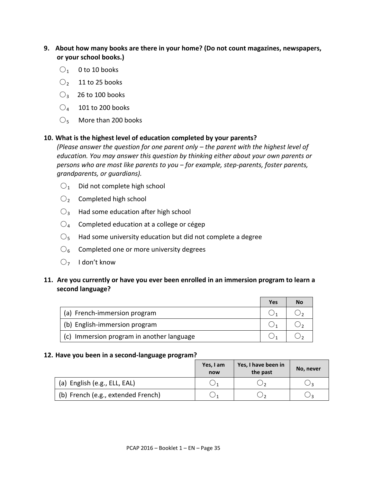- **9. About how many books are there in your home? (Do not count magazines, newspapers, or your school books.)** 
	- $\bigcirc$ <sub>1</sub> 0 to 10 books
	- $\bigcirc$  11 to 25 books
	- $O_3$  26 to 100 books
	- $\bigcirc_4$  101 to 200 books
	- $\bigcirc$ <sub>5</sub> More than 200 books

#### **10. What is the highest level of education completed by your parents?**

*(Please answer the question for one parent only – the parent with the highest level of education. You may answer this question by thinking either about your own parents or persons who are most like parents to you ‒ for example, step-parents, foster parents, grandparents, or guardians).*

- $\bigcirc$ <sub>1</sub> Did not complete high school
- $\bigcirc$  Completed high school
- $\bigcirc$ <sub>3</sub> Had some education after high school
- $\mathrm{O}_4$  Completed education at a college or cégep
- $\mathcal{O}_5$  Had some university education but did not complete a degree
- $\mathrm{O}_6$  Completed one or more university degrees
- $O<sub>7</sub>$  I don't know

#### **11. Are you currently or have you ever been enrolled in an immersion program to learn a second language?**

|                                           | Yes | No |
|-------------------------------------------|-----|----|
| (a) French-immersion program              |     |    |
| (b) English-immersion program             |     |    |
| (c) Immersion program in another language |     |    |

#### **12. Have you been in a second-language program?**

|                                    | Yes, I am<br>now | Yes, I have been in<br>the past | No, never |
|------------------------------------|------------------|---------------------------------|-----------|
| (a) English (e.g., ELL, EAL)       |                  |                                 | 2 ل       |
| (b) French (e.g., extended French) |                  |                                 |           |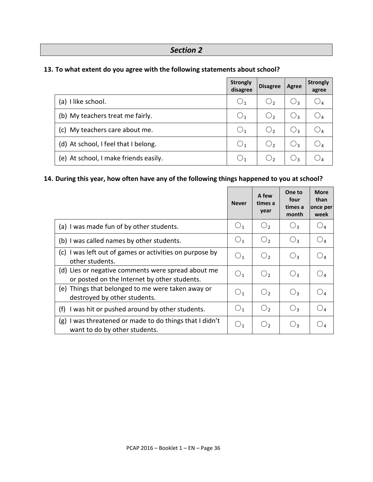# *Section 2*

# **13. To what extent do you agree with the following statements about school?**

|                                       | <b>Strongly</b><br>disagree | <b>Disagree</b> | Agree | <b>Strongly</b><br>agree |
|---------------------------------------|-----------------------------|-----------------|-------|--------------------------|
| (a) I like school.                    | $\bigcirc_1$                | О,              | 3 ک   | $\bigcirc_4$             |
| (b) My teachers treat me fairly.      | $\bigcup_1$                 | О,              | ج ل   | $\bigcirc_4$             |
| My teachers care about me.<br>c)      | O <sub>1</sub>              | О,              | ⊖३    | $\bigcirc_4$             |
| (d) At school, I feel that I belong.  | $\bigcup_1$                 | $\bigcirc$      | ج ل   | $\bigcirc_4$             |
| (e) At school, I make friends easily. | $\cup_1$                    |                 |       |                          |

# **14. During this year, how often have any of the following things happened to you at school?**

|                                                                                                    | <b>Never</b>   | A few<br>times a<br>year | One to<br>four<br>times a<br>month | <b>More</b><br>than<br>once per<br>week |
|----------------------------------------------------------------------------------------------------|----------------|--------------------------|------------------------------------|-----------------------------------------|
| (a) I was made fun of by other students.                                                           | O <sub>1</sub> | $\bigcirc$               | $O_3$                              | $\bigcirc_{4}$                          |
| (b) I was called names by other students.                                                          | $\bigcup_1$    | O <sub>2</sub>           | $O_3$                              | O4                                      |
| (c) I was left out of games or activities on purpose by<br>other students.                         | $\bigcup_1$    | $\bigcirc$               | $O_3$                              | $\bigcirc_{4}$                          |
| (d) Lies or negative comments were spread about me<br>or posted on the Internet by other students. | O <sub>1</sub> | $\bigcirc$               | $O_3$                              | $\bigcirc_{\texttt{4}}$                 |
| (e) Things that belonged to me were taken away or<br>destroyed by other students.                  | O <sub>1</sub> | O <sub>2</sub>           | $O_3$                              |                                         |
| I was hit or pushed around by other students.<br>(f)                                               | O <sub>1</sub> | O <sub>2</sub>           | $O_3$                              | $\bigcirc$                              |
| (g) I was threatened or made to do things that I didn't<br>want to do by other students.           | $\bigcup_1$    | O <sub>2</sub>           | $O_3$                              |                                         |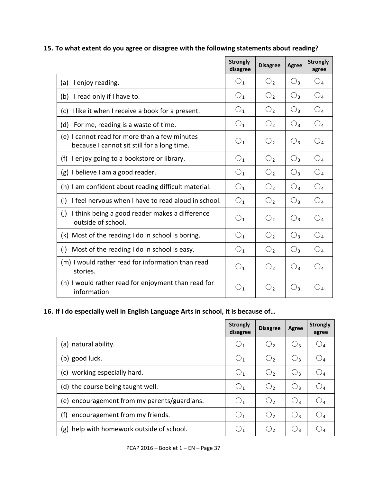# **15. To what extent do you agree or disagree with the following statements about reading?**

|                                                                                              | <b>Strongly</b><br>disagree | <b>Disagree</b> | <b>Agree</b>   | <b>Strongly</b><br>agree |
|----------------------------------------------------------------------------------------------|-----------------------------|-----------------|----------------|--------------------------|
| I enjoy reading.<br>(a)                                                                      | O <sub>1</sub>              | О,              | $\mathbb{O}_3$ | O <sub>4</sub>           |
| (b) I read only if I have to.                                                                | O <sub>1</sub>              | O <sub>2</sub>  | $O_3$          | O <sub>4</sub>           |
| (c) I like it when I receive a book for a present.                                           | O <sub>1</sub>              | O <sub>2</sub>  | $O_3$          | O <sub>4</sub>           |
| For me, reading is a waste of time.<br>(d)                                                   | O <sub>1</sub>              | $\bigcirc$      | $O_3$          | O <sub>4</sub>           |
| (e) I cannot read for more than a few minutes<br>because I cannot sit still for a long time. | O <sub>1</sub>              | O <sub>2</sub>  | $O_3$          | $O_4$                    |
| I enjoy going to a bookstore or library.<br>(f)                                              | O <sub>1</sub>              | O <sub>2</sub>  | $O_3$          | $O_4$                    |
| (g) I believe I am a good reader.                                                            | O <sub>1</sub>              | $\bigcirc$      | $O_3$          | O <sub>4</sub>           |
| (h) I am confident about reading difficult material.                                         | O <sub>1</sub>              | $\bigcirc$      | $O_3$          | O <sub>4</sub>           |
| I feel nervous when I have to read aloud in school.<br>(i)                                   | O <sub>1</sub>              | $\bigcirc$      | $O_3$          | $O_4$                    |
| (i)<br>I think being a good reader makes a difference<br>outside of school.                  | O <sub>1</sub>              | O <sub>2</sub>  | $O_3$          | O <sub>4</sub>           |
| (k) Most of the reading I do in school is boring.                                            | O <sub>1</sub>              | O <sub>2</sub>  | $O_3$          | $O_4$                    |
| Most of the reading I do in school is easy.<br>(1)                                           | O <sub>1</sub>              | $\bigcirc$      | $O_3$          | $O_4$                    |
| (m) I would rather read for information than read<br>stories.                                | O <sub>1</sub>              | O <sub>2</sub>  | $O_3$          | O <sub>4</sub>           |
| (n) I would rather read for enjoyment than read for<br>information                           | $\bigcirc_1$                | O <sub>2</sub>  | $\bigcirc_3$   | $\bigcirc_{4}$           |

#### **16. If I do especially well in English Language Arts in school, it is because of…**

|                                              | <b>Strongly</b><br>disagree | <b>Disagree</b> | Agree | <b>Strongly</b><br>agree |
|----------------------------------------------|-----------------------------|-----------------|-------|--------------------------|
| natural ability.<br>(a)                      | $\bigcup_1$                 | $\bigcirc$      | Oз    | $\mathcal{Q}_4$          |
| (b) good luck.                               | O <sub>1</sub>              | $\bigcirc$      | O3    | $\bigcirc_4$             |
| working especially hard.<br>(c)              | O <sub>1</sub>              | $\bigcirc$      | Oз    | $\bigcirc_{4}$           |
| (d) the course being taught well.            | O <sub>1</sub>              | $\bigcirc$      | $O_3$ | O <sub>4</sub>           |
| (e) encouragement from my parents/guardians. | ○1                          | $\bigcirc$      | $O_3$ | O4                       |
| (f)<br>encouragement from my friends.        | $\bigcirc_1$                | $\bigcirc$      | $O_3$ | $O_4$                    |
| help with homework outside of school.<br>(g) |                             | C)              | О3    | $\cup$ 4                 |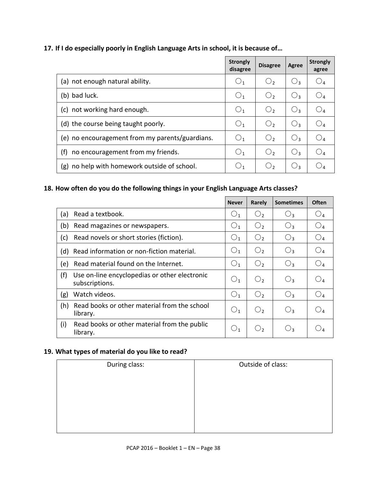#### **17. If I do especially poorly in English Language Arts in school, it is because of…**

|                                                 | <b>Strongly</b><br>disagree | <b>Disagree</b> | Agree           | <b>Strongly</b><br>agree |
|-------------------------------------------------|-----------------------------|-----------------|-----------------|--------------------------|
| (a) not enough natural ability.                 | $\bigcup_1$                 | $\bigcirc$      | O3              | $\bigcirc_{\mathtt{4}}$  |
| (b) bad luck.                                   | O <sub>1</sub>              | $\bigcirc$      | $O_3$           | $\bigcirc$               |
| not working hard enough.<br>(c)                 | O <sub>1</sub>              | $\bigcirc$      | $\mathcal{O}_3$ | $\bigcirc$               |
| (d) the course being taught poorly.             | O <sub>1</sub>              | $\bigcirc$      | $O_3$           | $\bigcirc$               |
| (e) no encouragement from my parents/guardians. | O <sub>1</sub>              | $\bigcirc$      | $\mathcal{O}_3$ | $\bigcirc_4$             |
| (f)<br>no encouragement from my friends.        | O <sub>1</sub>              | $\bigcirc$      | $O_3$           | $\bigcirc_4$             |
| no help with homework outside of school.<br>(g) |                             | C)              | $\bigcup$       |                          |

# **18. How often do you do the following things in your English Language Arts classes?**

|     |                                                                 | <b>Never</b>   | <b>Rarely</b>  | <b>Sometimes</b> | Often                  |
|-----|-----------------------------------------------------------------|----------------|----------------|------------------|------------------------|
| (a) | Read a textbook.                                                | O <sub>1</sub> | $\bigcirc$     | $O_3$            | $\mathbin{\bigcirc}_4$ |
| (b) | Read magazines or newspapers.                                   | O <sub>1</sub> | O <sub>2</sub> | $O_3$            | $\bigcirc_{4}$         |
| (c) | Read novels or short stories (fiction).                         | O <sub>1</sub> | O <sub>2</sub> | $O_3$            | $O_4$                  |
| (d) | Read information or non-fiction material.                       | O <sub>1</sub> | O <sub>2</sub> | $O_3$            | $\bigcirc_{4}$         |
| (e) | Read material found on the Internet.                            | O <sub>1</sub> | O <sub>2</sub> | $O_3$            | $\bigcirc_{4}$         |
| (f) | Use on-line encyclopedias or other electronic<br>subscriptions. | O <sub>1</sub> | O <sub>2</sub> | $O_3$            | $O_4$                  |
| (g) | Watch videos.                                                   | O <sub>1</sub> | $\bigcirc$     | $O_3$            | $\bigcirc_{4}$         |
| (h) | Read books or other material from the school<br>library.        | O <sub>1</sub> | $\bigcirc$     | $O_3$            | $\bigcirc_4$           |
| (i) | Read books or other material from the public<br>library.        | $\bigcup_{1}$  | $\cup$         | $\bigcirc_3$     | $\bigcup_{4}$          |

#### **19. What types of material do you like to read?**

| During class: | Outside of class: |
|---------------|-------------------|
|               |                   |
|               |                   |
|               |                   |
|               |                   |
|               |                   |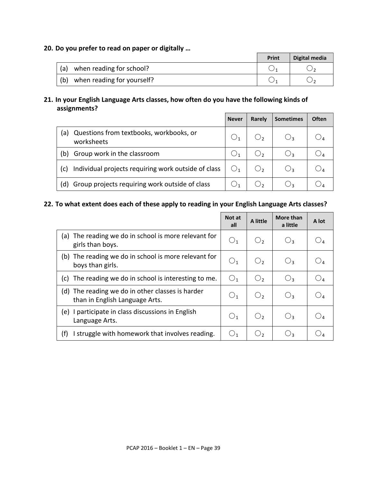#### **20. Do you prefer to read on paper or digitally …**

|     |                            | Print | Digital media |
|-----|----------------------------|-------|---------------|
| (a) | when reading for school?   |       |               |
| (b) | when reading for yourself? |       |               |

#### **21. In your English Language Arts classes, how often do you have the following kinds of assignments?**

|     |                                                       | <b>Never</b> | Rarely | <b>Sometimes</b> | Often |
|-----|-------------------------------------------------------|--------------|--------|------------------|-------|
| (a) | Questions from textbooks, workbooks, or<br>worksheets |              |        |                  |       |
| (b) | Group work in the classroom                           |              |        | Uз               |       |
| (c) | Individual projects requiring work outside of class   |              |        | U٩               |       |
| (d) | Group projects requiring work outside of class        |              |        |                  |       |

# **22. To what extent does each of these apply to reading in your English Language Arts classes?**

|                                                                                    | Not at<br>all  | A little   | More than<br>a little | A lot           |
|------------------------------------------------------------------------------------|----------------|------------|-----------------------|-----------------|
| The reading we do in school is more relevant for<br>(a)<br>girls than boys.        | O <sub>1</sub> | $\bigcirc$ | $O_3$                 |                 |
| The reading we do in school is more relevant for<br>(b)<br>boys than girls.        | O <sub>1</sub> | O,         | $O_3$                 |                 |
| The reading we do in school is interesting to me.<br>(c)                           | O <sub>1</sub> | О,         | $O_3$                 | $\mathcal{Q}_4$ |
| (d) The reading we do in other classes is harder<br>than in English Language Arts. | O <sub>1</sub> | $\bigcirc$ | $O_3$                 |                 |
| participate in class discussions in English<br>(e)<br>Language Arts.               | O <sub>1</sub> | $\cup$ ,   | $O_3$                 |                 |
| (f)<br>I struggle with homework that involves reading.                             | $\bigcirc_1$   | ر ل        | $\bigcup_3$           |                 |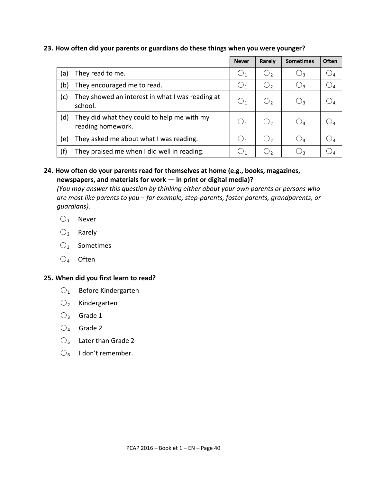#### **23. How often did your parents or guardians do these things when you were younger?**

|     |                                                                  | <b>Never</b>        | Rarely       | <b>Sometimes</b> | <b>Often</b>        |
|-----|------------------------------------------------------------------|---------------------|--------------|------------------|---------------------|
| (a) | They read to me.                                                 | $\cup_1$            | $\bigcirc_2$ | $\bigcirc_3$     | JΔ                  |
| (b) | They encouraged me to read.                                      | $\bigcup_1$         | $O_{2}$      | $O_3$            | $\mathcal{Q}_4$     |
| (c) | They showed an interest in what I was reading at<br>school.      | $\bigcup_1$         | $\bigcup_2$  | $\bigcirc_3$     |                     |
| (d) | They did what they could to help me with my<br>reading homework. | $\bigcup_1$         | $\cup$       | $\bigcirc_3$     | $\cup$ <sub>A</sub> |
| (e) | They asked me about what I was reading.                          | $\bigcup_1$         | ر (          | $O_3$            |                     |
| (f) | They praised me when I did well in reading.                      | $\cup$ <sub>1</sub> | O,           | $\bigcup_3$      |                     |

#### **24. How often do your parents read for themselves at home (e.g., books, magazines, newspapers, and materials for work — in print or digital media)?**

*(You may answer this question by thinking either about your own parents or persons who are most like parents to you ‒ for example, step-parents, foster parents, grandparents, or guardians).* 

- $O_1$  Never
- $O_2$  Rarely
- $O<sub>3</sub>$  Sometimes
- $O_4$  Often

#### **25. When did you first learn to read?**

- $O_1$  Before Kindergarten
- $O_2$  Kindergarten
- $O_3$  Grade 1
- $\bigcirc_4$  Grade 2
- $\bigcirc$ <sub>5</sub> Later than Grade 2
- $\mathcal{O}_6$  I don't remember.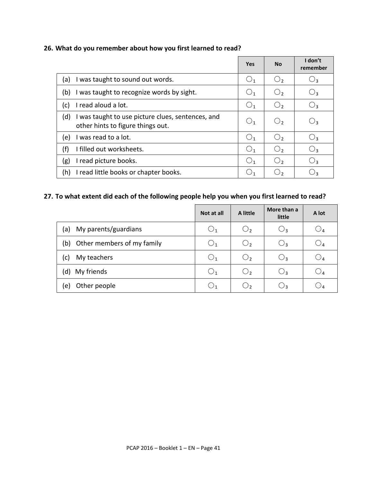#### **26. What do you remember about how you first learned to read?**

|                                                                                               | <b>Yes</b>     | <b>No</b>      | I don't<br>remember |
|-----------------------------------------------------------------------------------------------|----------------|----------------|---------------------|
| I was taught to sound out words.<br>(a)                                                       | O <sub>1</sub> | О,             | 3 ک                 |
| I was taught to recognize words by sight.<br>(b)                                              | O <sub>1</sub> | О,             | C)                  |
| I read aloud a lot.<br>(c)                                                                    | O <sub>1</sub> | O <sub>2</sub> | Uз                  |
| (d)<br>I was taught to use picture clues, sentences, and<br>other hints to figure things out. | O <sub>1</sub> | $\bigcirc$     | $\cup_3$            |
| I was read to a lot.<br>(e)                                                                   | O <sub>1</sub> | $\bigcirc$     | $\bigcup_3$         |
| (f)<br>I filled out worksheets.                                                               | O <sub>1</sub> | O <sub>2</sub> | $\bigcirc_3$        |
| (g)<br>I read picture books.                                                                  | O <sub>1</sub> | О,             | $\cup_3$            |
| (h)<br>I read little books or chapter books.                                                  | $\bigcup_1$    | C)             |                     |

# **27. To what extent did each of the following people help you when you first learned to read?**

|                                   | Not at all  | A little            | More than a<br>little | A lot                   |
|-----------------------------------|-------------|---------------------|-----------------------|-------------------------|
| My parents/guardians<br>(a)       | $\cup_1$    | O <sub>2</sub>      | $\bigcirc_3$          | $\bigcup_{\mathcal{A}}$ |
| Other members of my family<br>(b) | $\cup_1$    | O <sub>2</sub>      | $\bigcirc_3$          | $\bigcirc_4$            |
| My teachers<br>(c)                | $\bigcup_1$ | O <sub>2</sub>      | $\bigcirc_3$          | $\mathbin{\cup}_4$      |
| My friends<br>(d)                 | $\cup_1$    | O <sub>2</sub>      | $\bigcirc_3$          | $\cup$ 4                |
| Other people<br>e)                |             | $\cup$ <sub>2</sub> | ∪3                    | IJΔ                     |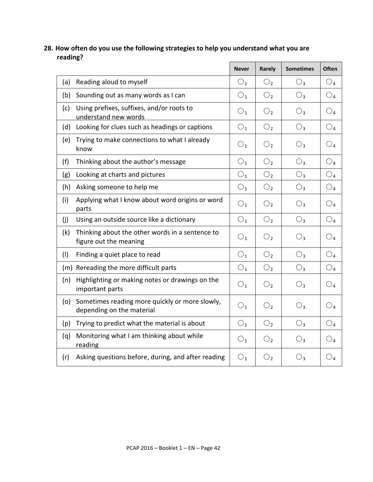# **28. How often do you use the following strategies to help you understand what you are reading?**

|     |                                                                             | <b>Never</b>   | Rarely         | <b>Sometimes</b> | Often                   |
|-----|-----------------------------------------------------------------------------|----------------|----------------|------------------|-------------------------|
| (a) | Reading aloud to myself                                                     | O <sub>1</sub> | O <sub>2</sub> | $O_3$            | $\bigcirc_{4}$          |
| (b) | Sounding out as many words as I can                                         | O <sub>1</sub> | O <sub>2</sub> | $O_3$            | $\bigcirc$ <sub>4</sub> |
| (c) | Using prefixes, suffixes, and/or roots to<br>understand new words           | $O_1$          | O <sub>2</sub> | $O_3$            | $\bigcirc$ <sub>4</sub> |
| (d) | Looking for clues such as headings or captions                              | O <sub>1</sub> | O <sub>2</sub> | $O_3$            | $\bigcirc_4$            |
| (e) | Trying to make connections to what I already<br>know                        | $\bigcirc_1$   | O <sub>2</sub> | $O_3$            | $\bigcirc_{4}$          |
| (f) | Thinking about the author's message                                         | $O_1$          | O <sub>2</sub> | $O_3$            | O <sub>4</sub>          |
| (g) | Looking at charts and pictures                                              | $O_1$          | O <sub>2</sub> | $O_3$            | O <sub>4</sub>          |
| (h) | Asking someone to help me                                                   | O <sub>1</sub> | O <sub>2</sub> | $O_3$            | $\bigcirc$ <sub>4</sub> |
| (i) | Applying what I know about word origins or word<br>parts                    | O <sub>1</sub> | O <sub>2</sub> | $O_3$            | $\bigcirc_{4}$          |
| (i) | Using an outside source like a dictionary                                   | O <sub>1</sub> | O <sub>2</sub> | $O_3$            | $\bigcirc_{4}$          |
| (k) | Thinking about the other words in a sentence to<br>figure out the meaning   | O <sub>1</sub> | $\bigcirc$     | $O_3$            | $\bigcirc$              |
| (1) | Finding a quiet place to read                                               | O <sub>1</sub> | O <sub>2</sub> | $O_3$            | O <sub>4</sub>          |
|     | (m) Rereading the more difficult parts                                      | O <sub>1</sub> | O <sub>2</sub> | $O_3$            | $\bigcirc$ <sub>4</sub> |
| (n) | Highlighting or making notes or drawings on the<br>important parts          | O <sub>1</sub> | O <sub>2</sub> | $O_3$            | $\bigcirc_4$            |
| (o) | Sometimes reading more quickly or more slowly,<br>depending on the material | O <sub>1</sub> | O <sub>2</sub> | $O_3$            | $\bigcirc_4$            |
| (p) | Trying to predict what the material is about                                | $\bigcirc_1$   | O <sub>2</sub> | $O_3$            | $\bigcirc_4$            |
| (q) | Monitoring what I am thinking about while<br>reading                        | O <sub>1</sub> | O <sub>2</sub> | $O_3$            | $\bigcirc_{4}$          |
| (r) | Asking questions before, during, and after reading                          | O <sub>1</sub> | O <sub>2</sub> | $\bigcirc_3$     | $\bigcirc_{4}$          |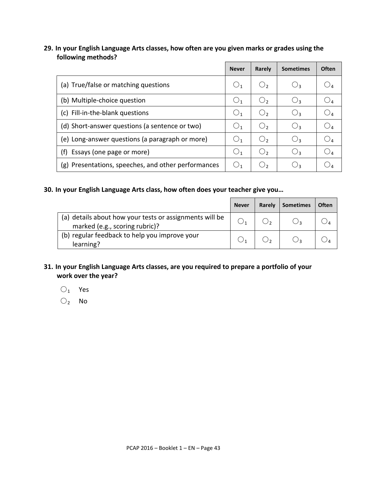#### **29. In your English Language Arts classes, how often are you given marks or grades using the following methods?**

|                                                     | <b>Never</b> | Rarely              | <b>Sometimes</b> | <b>Often</b>          |
|-----------------------------------------------------|--------------|---------------------|------------------|-----------------------|
| (a) True/false or matching questions                | $\bigcup_1$  | $\cup$ 2            | $\bigcup$ 3      |                       |
| (b) Multiple-choice question                        |              | $\bigcirc$          | $\bigcup$        |                       |
| (c) Fill-in-the-blank questions                     | $\cup$ 1     | $\cup$ <sub>2</sub> | $\bigcup$        |                       |
| (d) Short-answer questions (a sentence or two)      | $\bigcup_1$  | $\bigcirc$          | $O_3$            | $\cup_\mathtt{A}$     |
| (e) Long-answer questions (a paragraph or more)     | $\cup$ 1     | $\bigcirc$          | $\bigcup$        |                       |
| (f)<br>Essays (one page or more)                    | $\bigcup_1$  | $\bigcirc$          | $\bigcirc$       | $\bigcup_{\varDelta}$ |
| (g) Presentations, speeches, and other performances | $\bigcup_1$  | $\cup$ ,            | Oз               |                       |

#### **30. In your English Language Arts class, how often does your teacher give you…**

|                                                                                           | <b>Never</b> | Rarely | <b>Sometimes</b> | <b>Often</b> |
|-------------------------------------------------------------------------------------------|--------------|--------|------------------|--------------|
| (a) details about how your tests or assignments will be<br>marked (e.g., scoring rubric)? |              |        |                  |              |
| (b) regular feedback to help you improve your<br>learning?                                |              |        |                  |              |

#### **31. In your English Language Arts classes, are you required to prepare a portfolio of your work over the year?**

 $O_1$  Yes

 $O_2$  No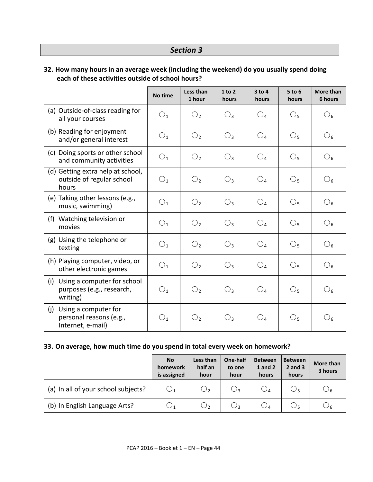# *Section 3*

## **32. How many hours in an average week (including the weekend) do you usually spend doing each of these activities outside of school hours?**

|                                                                             | No time        | Less than<br>1 hour | 1 to 2<br>hours | $3$ to 4<br>hours | $5$ to $6$<br>hours | <b>More than</b><br>6 hours |
|-----------------------------------------------------------------------------|----------------|---------------------|-----------------|-------------------|---------------------|-----------------------------|
| (a) Outside-of-class reading for<br>all your courses                        | $\bigcirc_1$   | $\bigcirc$          | $O_3$           | $\bigcirc_{4}$    | $\bigcirc_5$        | $\bigcirc_6$                |
| (b) Reading for enjoyment<br>and/or general interest                        | $\bigcirc_1$   | O <sub>2</sub>      | $O_3$           | O <sub>4</sub>    | $\bigcirc_5$        | $\bigcirc_6$                |
| (c) Doing sports or other school<br>and community activities                | $\bigcirc_1$   | O <sub>2</sub>      | $O_3$           | O <sub>4</sub>    | O <sub>5</sub>      | $\bigcirc_6$                |
| (d) Getting extra help at school,<br>outside of regular school<br>hours     | O <sub>1</sub> | O <sub>2</sub>      | $O_3$           | $O_4$             | $\bigcirc_5$        | $\mathcal{O}_6$             |
| (e) Taking other lessons (e.g.,<br>music, swimming)                         | O <sub>1</sub> | $\bigcirc$          | $O_3$           | O <sub>4</sub>    | $\bigcirc_5$        | $\mathcal{O}_6$             |
| Watching television or<br>(f)<br>movies                                     | O <sub>1</sub> | O <sub>2</sub>      | $O_3$           | O <sub>4</sub>    | $\bigcirc_5$        | $\mathcal{O}_6$             |
| (g) Using the telephone or<br>texting                                       | O <sub>1</sub> | O <sub>2</sub>      | $O_3$           | O <sub>4</sub>    | $\bigcirc_5$        | $\mathcal{O}_6$             |
| (h) Playing computer, video, or<br>other electronic games                   | $\bigcirc_1$   | O <sub>2</sub>      | $O_3$           | $\bigcirc_{4}$    | $\bigcirc_5$        | $\bigcirc_6$                |
| Using a computer for school<br>(i)<br>purposes (e.g., research,<br>writing) | O <sub>1</sub> | O <sub>2</sub>      | $O_3$           | O <sub>4</sub>    | $\bigcirc_5$        | $\mathcal{O}_6$             |
| Using a computer for<br>(j)<br>personal reasons (e.g.,<br>Internet, e-mail) | $\bigcirc_1$   | O <sub>2</sub>      | $O_3$           | O <sub>4</sub>    | $\bigcirc_5$        | $\bigcirc_6$                |

#### **33. On average, how much time do you spend in total every week on homework?**

|                                     | <b>No</b><br>homework<br>is assigned | Less than<br>half an<br>hour | One-half<br>to one<br>hour | <b>Between</b><br><b>1</b> and 2<br>hours | <b>Between</b><br>$2$ and $3$<br>hours | More than<br>3 hours |
|-------------------------------------|--------------------------------------|------------------------------|----------------------------|-------------------------------------------|----------------------------------------|----------------------|
| (a) In all of your school subjects? | $\bigcirc_1$                         | $\mathsf{O}_2$               | $\bigcirc_3$               |                                           |                                        | $\bigcirc_6$         |
| (b) In English Language Arts?       | $\cup$ 1                             | О,                           | $\bigcirc_3$               |                                           |                                        | O6                   |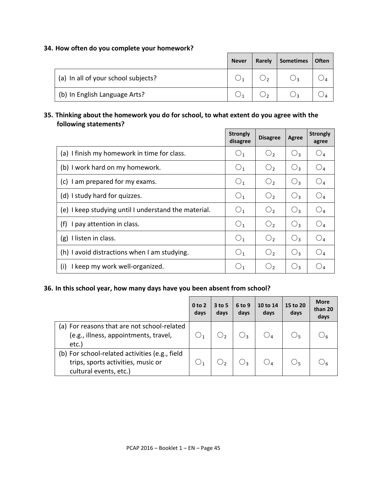#### **34. How often do you complete your homework?**

|                                     | <b>Never</b> | Rarely | <b>Sometimes</b> | Often |
|-------------------------------------|--------------|--------|------------------|-------|
| (a) In all of your school subjects? |              |        |                  |       |
| (b) In English Language Arts?       |              |        |                  |       |

 $\overline{a}$ 

#### **35. Thinking about the homework you do for school, to what extent do you agree with the following statements?**  $\blacksquare$

|                                                      | <b>Strongly</b><br>disagree | <b>Disagree</b> | Agree          | <b>Strongly</b><br>agree |
|------------------------------------------------------|-----------------------------|-----------------|----------------|--------------------------|
| (a) I finish my homework in time for class.          | O <sub>1</sub>              | O <sub>2</sub>  | $O_3$          | O <sub>4</sub>           |
| (b) I work hard on my homework.                      | O <sub>1</sub>              | O <sub>2</sub>  | $O_3$          | O <sub>4</sub>           |
| I am prepared for my exams.<br>(c)                   | O <sub>1</sub>              | O <sub>2</sub>  | $O_3$          | $\bigcirc_{4}$           |
| (d) I study hard for quizzes.                        | O <sub>1</sub>              | O <sub>2</sub>  | $O_3$          | O <sub>4</sub>           |
| (e) I keep studying until I understand the material. | O <sub>1</sub>              | $\bigcirc$      | O <sub>3</sub> | $O_4$                    |
| (f)<br>I pay attention in class.                     | O <sub>1</sub>              | $\bigcirc$      | $O_3$          | $\bigcirc_{4}$           |
| I listen in class.<br>(g)                            | O <sub>1</sub>              | $\bigcirc$      | $O_3$          | $\bigcirc_{4}$           |
| (h) I avoid distractions when I am studying.         | O <sub>1</sub>              | O <sub>2</sub>  | $O_3$          | $O_4$                    |
| I keep my work well-organized.<br>(i)                | O <sub>1</sub>              | O <sub>2</sub>  | $O_3$          | O <sub>4</sub>           |

#### **36. In this school year, how many days have you been absent from school?**

|                                                                                                                | 0 <sub>to</sub> 2<br>days | $3$ to 5<br>days | 6 to 9<br>days | 10 to 14<br>days | 15 to 20<br>days | <b>More</b><br>than 20<br>days |
|----------------------------------------------------------------------------------------------------------------|---------------------------|------------------|----------------|------------------|------------------|--------------------------------|
| (a) For reasons that are not school-related<br>(e.g., illness, appointments, travel,<br>etc.)                  |                           |                  |                |                  | 5 ل              |                                |
| (b) For school-related activities (e.g., field<br>trips, sports activities, music or<br>cultural events, etc.) |                           |                  | $\sqrt{3}$     | ∪⊿               | しょ               |                                |